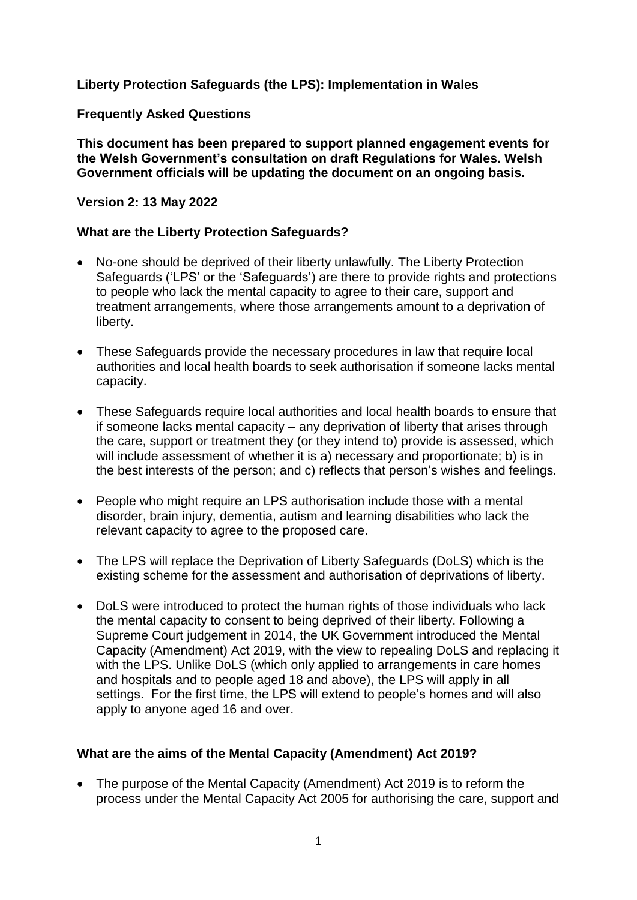## **Liberty Protection Safeguards (the LPS): Implementation in Wales**

### **Frequently Asked Questions**

**This document has been prepared to support planned engagement events for the Welsh Government's consultation on draft Regulations for Wales. Welsh Government officials will be updating the document on an ongoing basis.** 

#### **Version 2: 13 May 2022**

### **What are the Liberty Protection Safeguards?**

- No-one should be deprived of their liberty unlawfully. The Liberty Protection Safeguards ('LPS' or the 'Safeguards') are there to provide rights and protections to people who lack the mental capacity to agree to their care, support and treatment arrangements, where those arrangements amount to a deprivation of liberty.
- These Safeguards provide the necessary procedures in law that require local authorities and local health boards to seek authorisation if someone lacks mental capacity.
- These Safeguards require local authorities and local health boards to ensure that if someone lacks mental capacity – any deprivation of liberty that arises through the care, support or treatment they (or they intend to) provide is assessed, which will include assessment of whether it is a) necessary and proportionate; b) is in the best interests of the person; and c) reflects that person's wishes and feelings.
- People who might require an LPS authorisation include those with a mental disorder, brain injury, dementia, autism and learning disabilities who lack the relevant capacity to agree to the proposed care.
- The LPS will replace the Deprivation of Liberty Safeguards (DoLS) which is the existing scheme for the assessment and authorisation of deprivations of liberty.
- DoLS were introduced to protect the human rights of those individuals who lack the mental capacity to consent to being deprived of their liberty. Following a Supreme Court judgement in 2014, the UK Government introduced the Mental Capacity (Amendment) Act 2019, with the view to repealing DoLS and replacing it with the LPS. Unlike DoLS (which only applied to arrangements in care homes and hospitals and to people aged 18 and above), the LPS will apply in all settings. For the first time, the LPS will extend to people's homes and will also apply to anyone aged 16 and over.

### **What are the aims of the Mental Capacity (Amendment) Act 2019?**

• The purpose of the Mental Capacity (Amendment) Act 2019 is to reform the process under the Mental Capacity Act 2005 for authorising the care, support and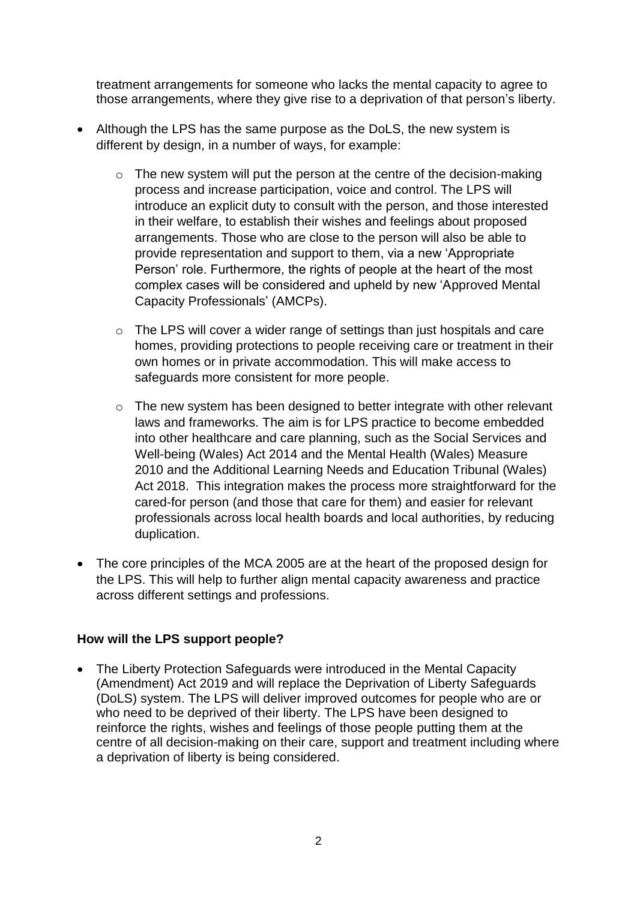treatment arrangements for someone who lacks the mental capacity to agree to those arrangements, where they give rise to a deprivation of that person's liberty.

- Although the LPS has the same purpose as the DoLS, the new system is different by design, in a number of ways, for example:
	- o The new system will put the person at the centre of the decision-making process and increase participation, voice and control. The LPS will introduce an explicit duty to consult with the person, and those interested in their welfare, to establish their wishes and feelings about proposed arrangements. Those who are close to the person will also be able to provide representation and support to them, via a new 'Appropriate Person' role. Furthermore, the rights of people at the heart of the most complex cases will be considered and upheld by new 'Approved Mental Capacity Professionals' (AMCPs).
	- o The LPS will cover a wider range of settings than just hospitals and care homes, providing protections to people receiving care or treatment in their own homes or in private accommodation. This will make access to safeguards more consistent for more people.
	- o The new system has been designed to better integrate with other relevant laws and frameworks. The aim is for LPS practice to become embedded into other healthcare and care planning, such as the Social Services and Well-being (Wales) Act 2014 and the Mental Health (Wales) Measure 2010 and the Additional Learning Needs and Education Tribunal (Wales) Act 2018. This integration makes the process more straightforward for the cared-for person (and those that care for them) and easier for relevant professionals across local health boards and local authorities, by reducing duplication.
- The core principles of the MCA 2005 are at the heart of the proposed design for the LPS. This will help to further align mental capacity awareness and practice across different settings and professions.

# **How will the LPS support people?**

 The Liberty Protection Safeguards were introduced in the Mental Capacity (Amendment) Act 2019 and will replace the Deprivation of Liberty Safeguards (DoLS) system. The LPS will deliver improved outcomes for people who are or who need to be deprived of their liberty. The LPS have been designed to reinforce the rights, wishes and feelings of those people putting them at the centre of all decision-making on their care, support and treatment including where a deprivation of liberty is being considered.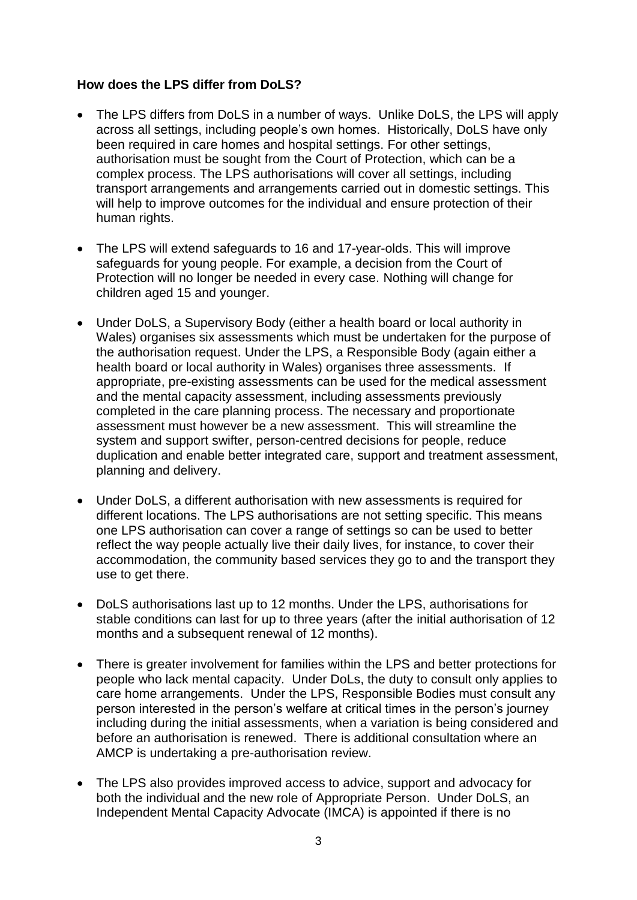## **How does the LPS differ from DoLS?**

- The LPS differs from DoLS in a number of ways. Unlike DoLS, the LPS will apply across all settings, including people's own homes. Historically, DoLS have only been required in care homes and hospital settings. For other settings, authorisation must be sought from the Court of Protection, which can be a complex process. The LPS authorisations will cover all settings, including transport arrangements and arrangements carried out in domestic settings. This will help to improve outcomes for the individual and ensure protection of their human rights.
- The LPS will extend safeguards to 16 and 17-year-olds. This will improve safeguards for young people. For example, a decision from the Court of Protection will no longer be needed in every case. Nothing will change for children aged 15 and younger.
- Under DoLS, a Supervisory Body (either a health board or local authority in Wales) organises six assessments which must be undertaken for the purpose of the authorisation request. Under the LPS, a Responsible Body (again either a health board or local authority in Wales) organises three assessments. If appropriate, pre-existing assessments can be used for the medical assessment and the mental capacity assessment, including assessments previously completed in the care planning process. The necessary and proportionate assessment must however be a new assessment. This will streamline the system and support swifter, person-centred decisions for people, reduce duplication and enable better integrated care, support and treatment assessment, planning and delivery.
- Under DoLS, a different authorisation with new assessments is required for different locations. The LPS authorisations are not setting specific. This means one LPS authorisation can cover a range of settings so can be used to better reflect the way people actually live their daily lives, for instance, to cover their accommodation, the community based services they go to and the transport they use to get there.
- DoLS authorisations last up to 12 months. Under the LPS, authorisations for stable conditions can last for up to three years (after the initial authorisation of 12 months and a subsequent renewal of 12 months).
- There is greater involvement for families within the LPS and better protections for people who lack mental capacity. Under DoLs, the duty to consult only applies to care home arrangements. Under the LPS, Responsible Bodies must consult any person interested in the person's welfare at critical times in the person's journey including during the initial assessments, when a variation is being considered and before an authorisation is renewed. There is additional consultation where an AMCP is undertaking a pre-authorisation review.
- The LPS also provides improved access to advice, support and advocacy for both the individual and the new role of Appropriate Person. Under DoLS, an Independent Mental Capacity Advocate (IMCA) is appointed if there is no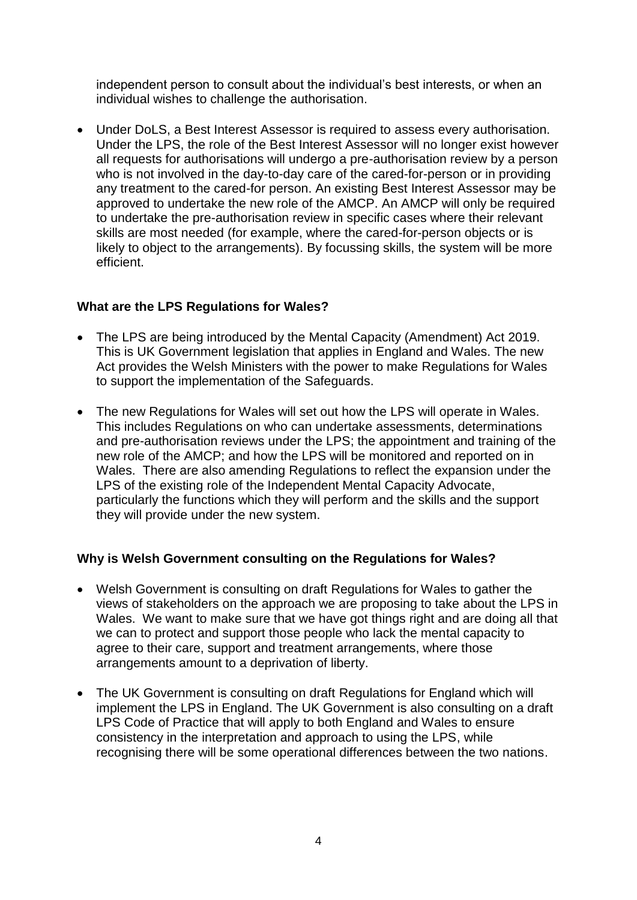independent person to consult about the individual's best interests, or when an individual wishes to challenge the authorisation.

 Under DoLS, a Best Interest Assessor is required to assess every authorisation. Under the LPS, the role of the Best Interest Assessor will no longer exist however all requests for authorisations will undergo a pre-authorisation review by a person who is not involved in the day-to-day care of the cared-for-person or in providing any treatment to the cared-for person. An existing Best Interest Assessor may be approved to undertake the new role of the AMCP. An AMCP will only be required to undertake the pre-authorisation review in specific cases where their relevant skills are most needed (for example, where the cared-for-person objects or is likely to object to the arrangements). By focussing skills, the system will be more efficient.

## **What are the LPS Regulations for Wales?**

- The LPS are being introduced by the Mental Capacity (Amendment) Act 2019. This is UK Government legislation that applies in England and Wales. The new Act provides the Welsh Ministers with the power to make Regulations for Wales to support the implementation of the Safeguards.
- The new Regulations for Wales will set out how the LPS will operate in Wales. This includes Regulations on who can undertake assessments, determinations and pre-authorisation reviews under the LPS; the appointment and training of the new role of the AMCP; and how the LPS will be monitored and reported on in Wales. There are also amending Regulations to reflect the expansion under the LPS of the existing role of the Independent Mental Capacity Advocate, particularly the functions which they will perform and the skills and the support they will provide under the new system.

# **Why is Welsh Government consulting on the Regulations for Wales?**

- Welsh Government is consulting on draft Regulations for Wales to gather the views of stakeholders on the approach we are proposing to take about the LPS in Wales. We want to make sure that we have got things right and are doing all that we can to protect and support those people who lack the mental capacity to agree to their care, support and treatment arrangements, where those arrangements amount to a deprivation of liberty.
- The UK Government is consulting on draft Regulations for England which will implement the LPS in England. The UK Government is also consulting on a draft LPS Code of Practice that will apply to both England and Wales to ensure consistency in the interpretation and approach to using the LPS, while recognising there will be some operational differences between the two nations.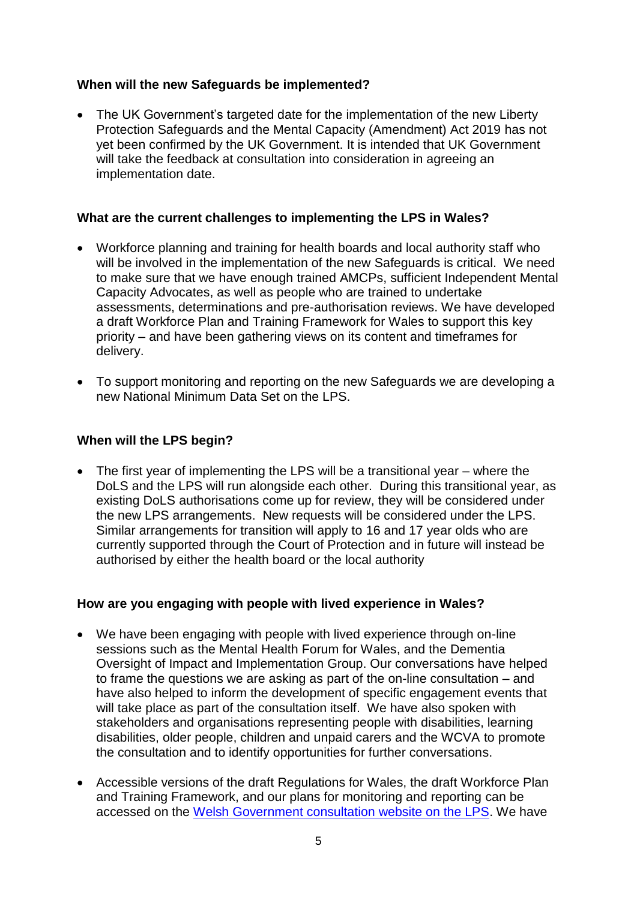## **When will the new Safeguards be implemented?**

• The UK Government's targeted date for the implementation of the new Liberty Protection Safeguards and the Mental Capacity (Amendment) Act 2019 has not yet been confirmed by the UK Government. It is intended that UK Government will take the feedback at consultation into consideration in agreeing an implementation date.

### **What are the current challenges to implementing the LPS in Wales?**

- Workforce planning and training for health boards and local authority staff who will be involved in the implementation of the new Safeguards is critical. We need to make sure that we have enough trained AMCPs, sufficient Independent Mental Capacity Advocates, as well as people who are trained to undertake assessments, determinations and pre-authorisation reviews. We have developed a draft Workforce Plan and Training Framework for Wales to support this key priority – and have been gathering views on its content and timeframes for delivery.
- To support monitoring and reporting on the new Safeguards we are developing a new National Minimum Data Set on the LPS.

### **When will the LPS begin?**

 The first year of implementing the LPS will be a transitional year – where the DoLS and the LPS will run alongside each other. During this transitional year, as existing DoLS authorisations come up for review, they will be considered under the new LPS arrangements. New requests will be considered under the LPS. Similar arrangements for transition will apply to 16 and 17 year olds who are currently supported through the Court of Protection and in future will instead be authorised by either the health board or the local authority

### **How are you engaging with people with lived experience in Wales?**

- We have been engaging with people with lived experience through on-line sessions such as the Mental Health Forum for Wales, and the Dementia Oversight of Impact and Implementation Group. Our conversations have helped to frame the questions we are asking as part of the on-line consultation – and have also helped to inform the development of specific engagement events that will take place as part of the consultation itself. We have also spoken with stakeholders and organisations representing people with disabilities, learning disabilities, older people, children and unpaid carers and the WCVA to promote the consultation and to identify opportunities for further conversations.
- Accessible versions of the draft Regulations for Wales, the draft Workforce Plan and Training Framework, and our plans for monitoring and reporting can be accessed on the [Welsh Government consultation website on the LPS.](https://gov.wales/liberty-protection-safeguards) We have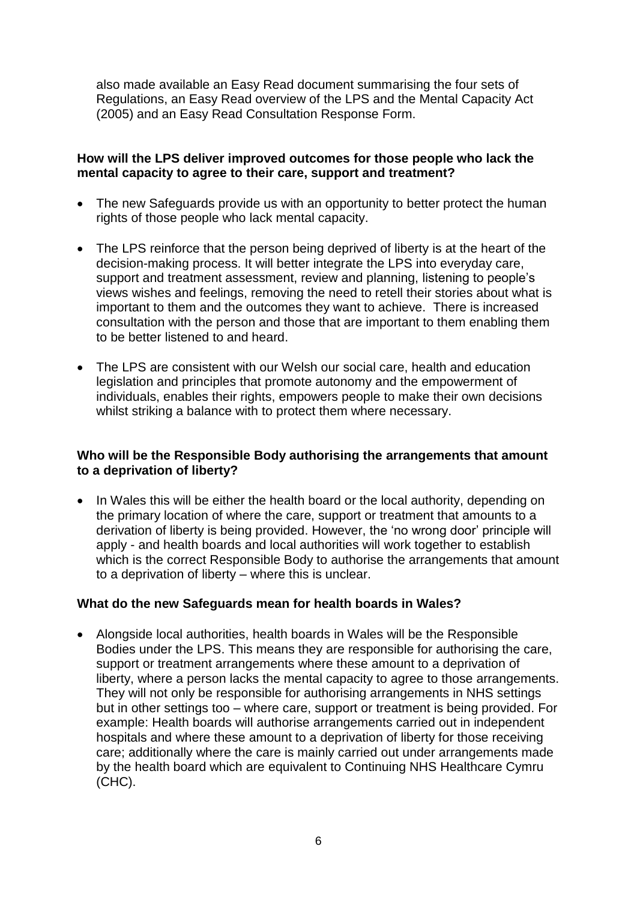also made available an Easy Read document summarising the four sets of Regulations, an Easy Read overview of the LPS and the Mental Capacity Act (2005) and an Easy Read Consultation Response Form.

### **How will the LPS deliver improved outcomes for those people who lack the mental capacity to agree to their care, support and treatment?**

- The new Safeguards provide us with an opportunity to better protect the human rights of those people who lack mental capacity.
- The LPS reinforce that the person being deprived of liberty is at the heart of the decision-making process. It will better integrate the LPS into everyday care, support and treatment assessment, review and planning, listening to people's views wishes and feelings, removing the need to retell their stories about what is important to them and the outcomes they want to achieve. There is increased consultation with the person and those that are important to them enabling them to be better listened to and heard.
- The LPS are consistent with our Welsh our social care, health and education legislation and principles that promote autonomy and the empowerment of individuals, enables their rights, empowers people to make their own decisions whilst striking a balance with to protect them where necessary.

### **Who will be the Responsible Body authorising the arrangements that amount to a deprivation of liberty?**

• In Wales this will be either the health board or the local authority, depending on the primary location of where the care, support or treatment that amounts to a derivation of liberty is being provided. However, the 'no wrong door' principle will apply - and health boards and local authorities will work together to establish which is the correct Responsible Body to authorise the arrangements that amount to a deprivation of liberty – where this is unclear.

### **What do the new Safeguards mean for health boards in Wales?**

 Alongside local authorities, health boards in Wales will be the Responsible Bodies under the LPS. This means they are responsible for authorising the care, support or treatment arrangements where these amount to a deprivation of liberty, where a person lacks the mental capacity to agree to those arrangements. They will not only be responsible for authorising arrangements in NHS settings but in other settings too – where care, support or treatment is being provided. For example: Health boards will authorise arrangements carried out in independent hospitals and where these amount to a deprivation of liberty for those receiving care; additionally where the care is mainly carried out under arrangements made by the health board which are equivalent to Continuing NHS Healthcare Cymru (CHC).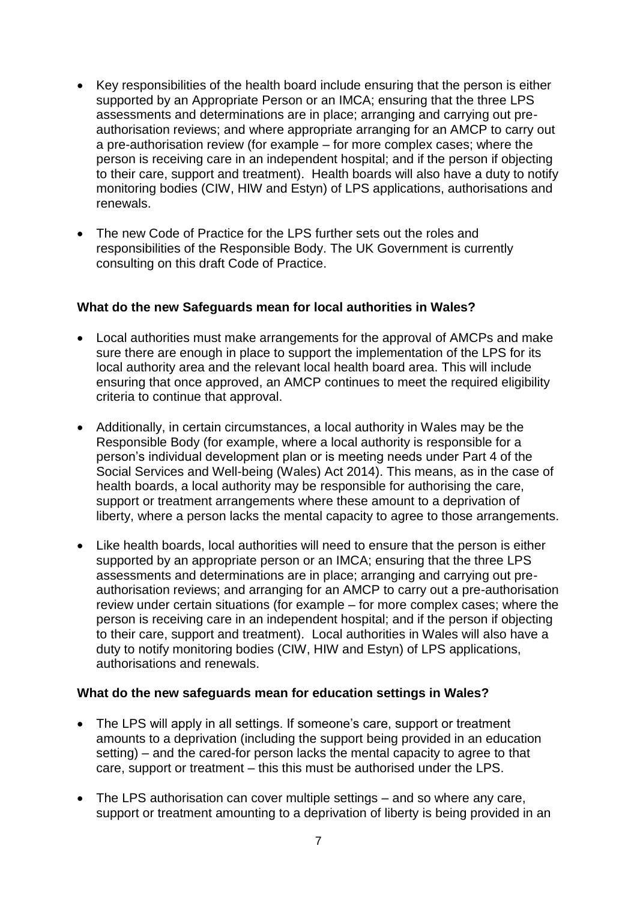- Key responsibilities of the health board include ensuring that the person is either supported by an Appropriate Person or an IMCA; ensuring that the three LPS assessments and determinations are in place; arranging and carrying out preauthorisation reviews; and where appropriate arranging for an AMCP to carry out a pre-authorisation review (for example – for more complex cases; where the person is receiving care in an independent hospital; and if the person if objecting to their care, support and treatment). Health boards will also have a duty to notify monitoring bodies (CIW, HIW and Estyn) of LPS applications, authorisations and renewals.
- The new Code of Practice for the LPS further sets out the roles and responsibilities of the Responsible Body. The UK Government is currently consulting on this draft Code of Practice.

## **What do the new Safeguards mean for local authorities in Wales?**

- Local authorities must make arrangements for the approval of AMCPs and make sure there are enough in place to support the implementation of the LPS for its local authority area and the relevant local health board area. This will include ensuring that once approved, an AMCP continues to meet the required eligibility criteria to continue that approval.
- Additionally, in certain circumstances, a local authority in Wales may be the Responsible Body (for example, where a local authority is responsible for a person's individual development plan or is meeting needs under Part 4 of the Social Services and Well-being (Wales) Act 2014). This means, as in the case of health boards, a local authority may be responsible for authorising the care, support or treatment arrangements where these amount to a deprivation of liberty, where a person lacks the mental capacity to agree to those arrangements.
- Like health boards, local authorities will need to ensure that the person is either supported by an appropriate person or an IMCA; ensuring that the three LPS assessments and determinations are in place; arranging and carrying out preauthorisation reviews; and arranging for an AMCP to carry out a pre-authorisation review under certain situations (for example – for more complex cases; where the person is receiving care in an independent hospital; and if the person if objecting to their care, support and treatment). Local authorities in Wales will also have a duty to notify monitoring bodies (CIW, HIW and Estyn) of LPS applications, authorisations and renewals.

### **What do the new safeguards mean for education settings in Wales?**

- The LPS will apply in all settings. If someone's care, support or treatment amounts to a deprivation (including the support being provided in an education setting) – and the cared-for person lacks the mental capacity to agree to that care, support or treatment – this this must be authorised under the LPS.
- The LPS authorisation can cover multiple settings and so where any care, support or treatment amounting to a deprivation of liberty is being provided in an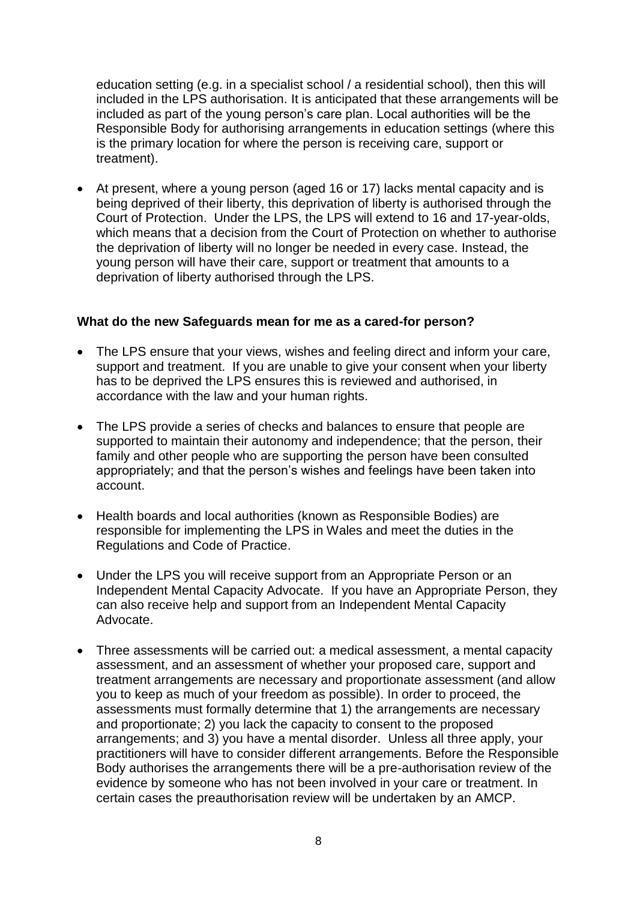education setting (e.g. in a specialist school / a residential school), then this will included in the LPS authorisation. It is anticipated that these arrangements will be included as part of the young person's care plan. Local authorities will be the Responsible Body for authorising arrangements in education settings (where this is the primary location for where the person is receiving care, support or treatment).

 At present, where a young person (aged 16 or 17) lacks mental capacity and is being deprived of their liberty, this deprivation of liberty is authorised through the Court of Protection. Under the LPS, the LPS will extend to 16 and 17-year-olds, which means that a decision from the Court of Protection on whether to authorise the deprivation of liberty will no longer be needed in every case. Instead, the young person will have their care, support or treatment that amounts to a deprivation of liberty authorised through the LPS.

### **What do the new Safeguards mean for me as a cared-for person?**

- The LPS ensure that your views, wishes and feeling direct and inform your care, support and treatment. If you are unable to give your consent when your liberty has to be deprived the LPS ensures this is reviewed and authorised, in accordance with the law and your human rights.
- The LPS provide a series of checks and balances to ensure that people are supported to maintain their autonomy and independence; that the person, their family and other people who are supporting the person have been consulted appropriately; and that the person's wishes and feelings have been taken into account.
- Health boards and local authorities (known as Responsible Bodies) are responsible for implementing the LPS in Wales and meet the duties in the Regulations and Code of Practice.
- Under the LPS you will receive support from an Appropriate Person or an Independent Mental Capacity Advocate. If you have an Appropriate Person, they can also receive help and support from an Independent Mental Capacity Advocate.
- Three assessments will be carried out: a medical assessment, a mental capacity assessment, and an assessment of whether your proposed care, support and treatment arrangements are necessary and proportionate assessment (and allow you to keep as much of your freedom as possible). In order to proceed, the assessments must formally determine that 1) the arrangements are necessary and proportionate; 2) you lack the capacity to consent to the proposed arrangements; and 3) you have a mental disorder. Unless all three apply, your practitioners will have to consider different arrangements. Before the Responsible Body authorises the arrangements there will be a pre-authorisation review of the evidence by someone who has not been involved in your care or treatment. In certain cases the preauthorisation review will be undertaken by an AMCP.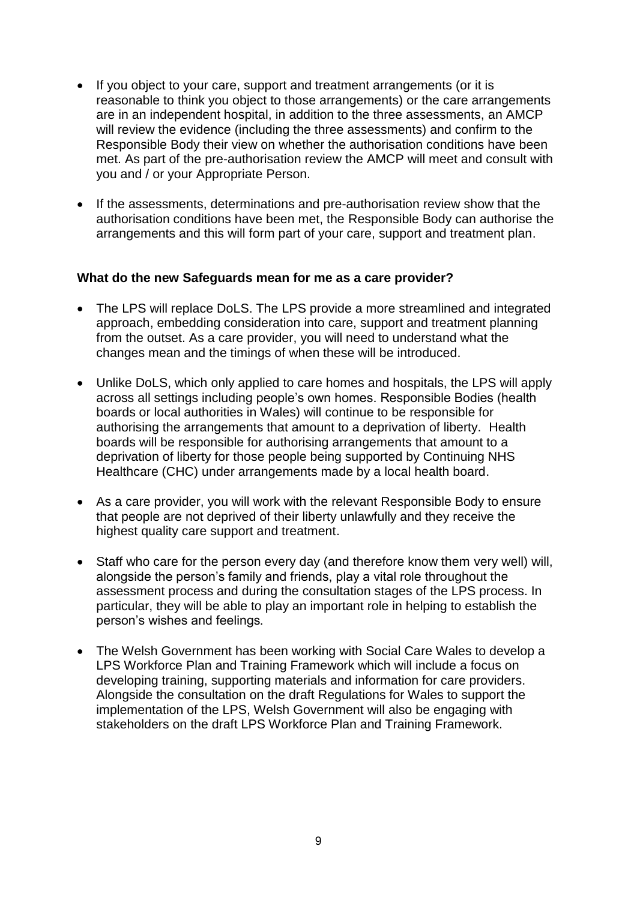- If you object to your care, support and treatment arrangements (or it is reasonable to think you object to those arrangements) or the care arrangements are in an independent hospital, in addition to the three assessments, an AMCP will review the evidence (including the three assessments) and confirm to the Responsible Body their view on whether the authorisation conditions have been met. As part of the pre-authorisation review the AMCP will meet and consult with you and / or your Appropriate Person.
- If the assessments, determinations and pre-authorisation review show that the authorisation conditions have been met, the Responsible Body can authorise the arrangements and this will form part of your care, support and treatment plan.

#### **What do the new Safeguards mean for me as a care provider?**

- The LPS will replace DoLS. The LPS provide a more streamlined and integrated approach, embedding consideration into care, support and treatment planning from the outset. As a care provider, you will need to understand what the changes mean and the timings of when these will be introduced.
- Unlike DoLS, which only applied to care homes and hospitals, the LPS will apply across all settings including people's own homes. Responsible Bodies (health boards or local authorities in Wales) will continue to be responsible for authorising the arrangements that amount to a deprivation of liberty. Health boards will be responsible for authorising arrangements that amount to a deprivation of liberty for those people being supported by Continuing NHS Healthcare (CHC) under arrangements made by a local health board.
- As a care provider, you will work with the relevant Responsible Body to ensure that people are not deprived of their liberty unlawfully and they receive the highest quality care support and treatment.
- Staff who care for the person every day (and therefore know them very well) will, alongside the person's family and friends, play a vital role throughout the assessment process and during the consultation stages of the LPS process. In particular, they will be able to play an important role in helping to establish the person's wishes and feelings*.*
- The Welsh Government has been working with Social Care Wales to develop a LPS Workforce Plan and Training Framework which will include a focus on developing training, supporting materials and information for care providers. Alongside the consultation on the draft Regulations for Wales to support the implementation of the LPS, Welsh Government will also be engaging with stakeholders on the draft LPS Workforce Plan and Training Framework.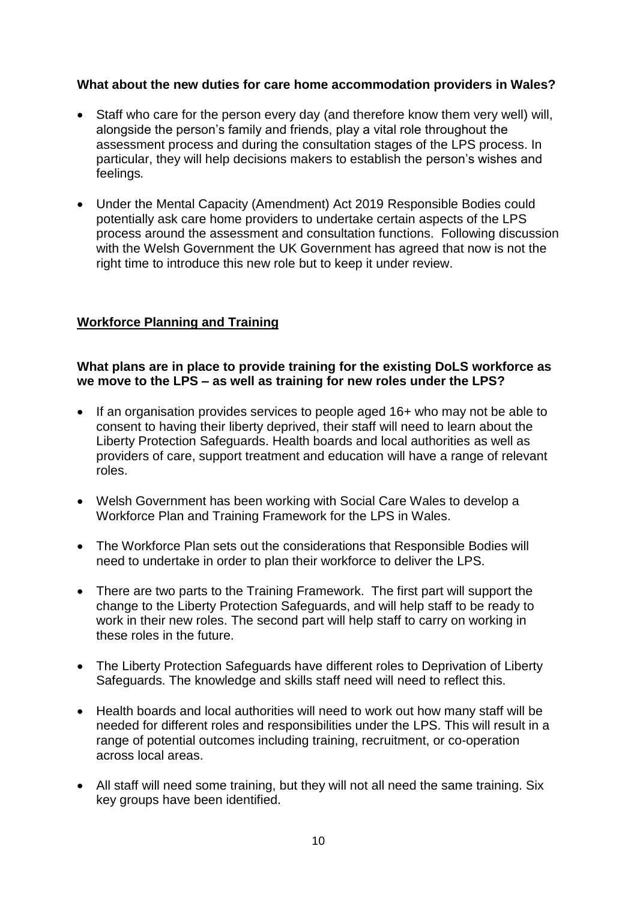## **What about the new duties for care home accommodation providers in Wales?**

- Staff who care for the person every day (and therefore know them very well) will, alongside the person's family and friends, play a vital role throughout the assessment process and during the consultation stages of the LPS process. In particular, they will help decisions makers to establish the person's wishes and feelings*.*
- Under the Mental Capacity (Amendment) Act 2019 Responsible Bodies could potentially ask care home providers to undertake certain aspects of the LPS process around the assessment and consultation functions. Following discussion with the Welsh Government the UK Government has agreed that now is not the right time to introduce this new role but to keep it under review.

# **Workforce Planning and Training**

### **What plans are in place to provide training for the existing DoLS workforce as we move to the LPS – as well as training for new roles under the LPS?**

- If an organisation provides services to people aged 16+ who may not be able to consent to having their liberty deprived, their staff will need to learn about the Liberty Protection Safeguards. Health boards and local authorities as well as providers of care, support treatment and education will have a range of relevant roles.
- Welsh Government has been working with Social Care Wales to develop a Workforce Plan and Training Framework for the LPS in Wales.
- The Workforce Plan sets out the considerations that Responsible Bodies will need to undertake in order to plan their workforce to deliver the LPS.
- There are two parts to the Training Framework. The first part will support the change to the Liberty Protection Safeguards, and will help staff to be ready to work in their new roles. The second part will help staff to carry on working in these roles in the future.
- The Liberty Protection Safeguards have different roles to Deprivation of Liberty Safeguards. The knowledge and skills staff need will need to reflect this.
- Health boards and local authorities will need to work out how many staff will be needed for different roles and responsibilities under the LPS. This will result in a range of potential outcomes including training, recruitment, or co-operation across local areas.
- All staff will need some training, but they will not all need the same training. Six key groups have been identified.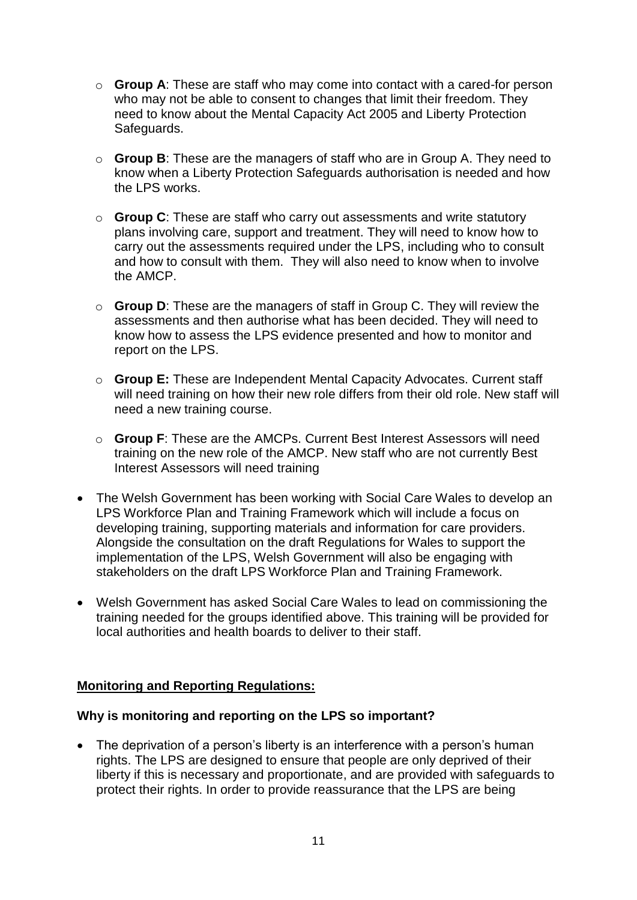- o **Group A**: These are staff who may come into contact with a cared-for person who may not be able to consent to changes that limit their freedom. They need to know about the Mental Capacity Act 2005 and Liberty Protection Safeguards.
- o **Group B**: These are the managers of staff who are in Group A. They need to know when a Liberty Protection Safeguards authorisation is needed and how the LPS works.
- o **Group C**: These are staff who carry out assessments and write statutory plans involving care, support and treatment. They will need to know how to carry out the assessments required under the LPS, including who to consult and how to consult with them. They will also need to know when to involve the AMCP.
- o **Group D**: These are the managers of staff in Group C. They will review the assessments and then authorise what has been decided. They will need to know how to assess the LPS evidence presented and how to monitor and report on the LPS.
- o **Group E:** These are Independent Mental Capacity Advocates. Current staff will need training on how their new role differs from their old role. New staff will need a new training course.
- o **Group F**: These are the AMCPs. Current Best Interest Assessors will need training on the new role of the AMCP. New staff who are not currently Best Interest Assessors will need training
- The Welsh Government has been working with Social Care Wales to develop an LPS Workforce Plan and Training Framework which will include a focus on developing training, supporting materials and information for care providers. Alongside the consultation on the draft Regulations for Wales to support the implementation of the LPS, Welsh Government will also be engaging with stakeholders on the draft LPS Workforce Plan and Training Framework.
- Welsh Government has asked Social Care Wales to lead on commissioning the training needed for the groups identified above. This training will be provided for local authorities and health boards to deliver to their staff.

### **Monitoring and Reporting Regulations:**

### **Why is monitoring and reporting on the LPS so important?**

• The deprivation of a person's liberty is an interference with a person's human rights. The LPS are designed to ensure that people are only deprived of their liberty if this is necessary and proportionate, and are provided with safeguards to protect their rights. In order to provide reassurance that the LPS are being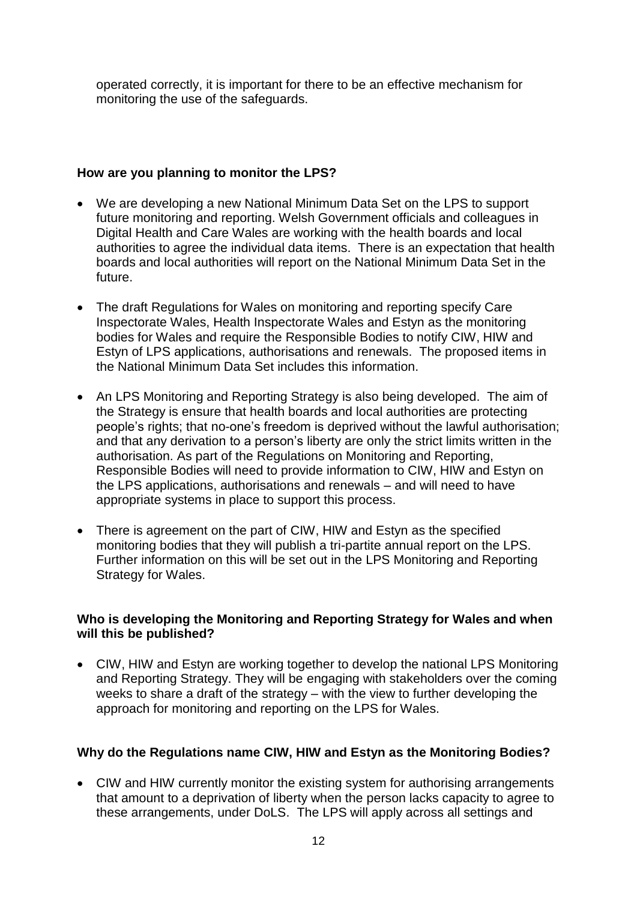operated correctly, it is important for there to be an effective mechanism for monitoring the use of the safeguards.

## **How are you planning to monitor the LPS?**

- We are developing a new National Minimum Data Set on the LPS to support future monitoring and reporting. Welsh Government officials and colleagues in Digital Health and Care Wales are working with the health boards and local authorities to agree the individual data items. There is an expectation that health boards and local authorities will report on the National Minimum Data Set in the future.
- The draft Regulations for Wales on monitoring and reporting specify Care Inspectorate Wales, Health Inspectorate Wales and Estyn as the monitoring bodies for Wales and require the Responsible Bodies to notify CIW, HIW and Estyn of LPS applications, authorisations and renewals. The proposed items in the National Minimum Data Set includes this information.
- An LPS Monitoring and Reporting Strategy is also being developed. The aim of the Strategy is ensure that health boards and local authorities are protecting people's rights; that no-one's freedom is deprived without the lawful authorisation; and that any derivation to a person's liberty are only the strict limits written in the authorisation. As part of the Regulations on Monitoring and Reporting, Responsible Bodies will need to provide information to CIW, HIW and Estyn on the LPS applications, authorisations and renewals – and will need to have appropriate systems in place to support this process.
- There is agreement on the part of CIW, HIW and Estyn as the specified monitoring bodies that they will publish a tri-partite annual report on the LPS. Further information on this will be set out in the LPS Monitoring and Reporting Strategy for Wales.

### **Who is developing the Monitoring and Reporting Strategy for Wales and when will this be published?**

 CIW, HIW and Estyn are working together to develop the national LPS Monitoring and Reporting Strategy. They will be engaging with stakeholders over the coming weeks to share a draft of the strategy – with the view to further developing the approach for monitoring and reporting on the LPS for Wales.

# **Why do the Regulations name CIW, HIW and Estyn as the Monitoring Bodies?**

 CIW and HIW currently monitor the existing system for authorising arrangements that amount to a deprivation of liberty when the person lacks capacity to agree to these arrangements, under DoLS. The LPS will apply across all settings and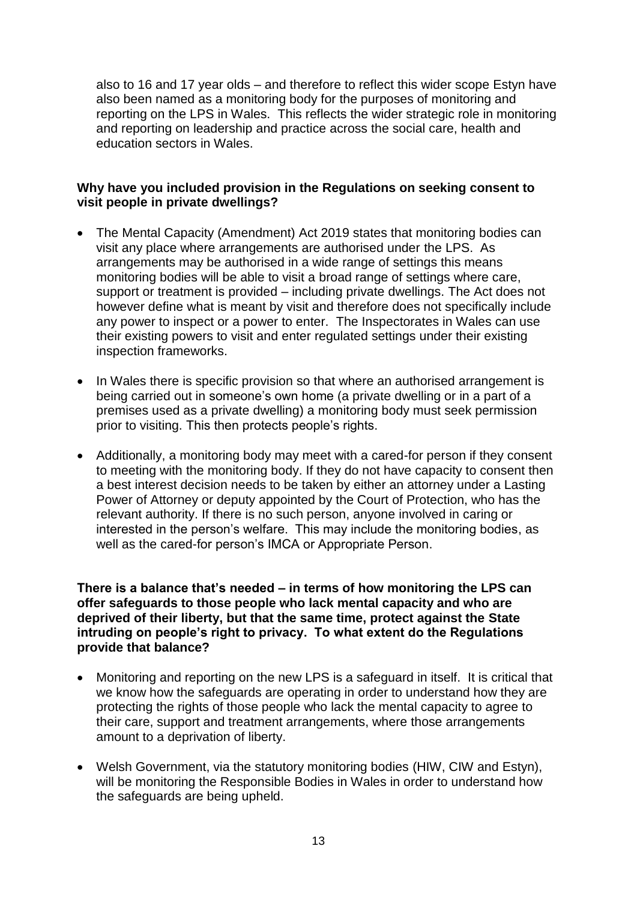also to 16 and 17 year olds – and therefore to reflect this wider scope Estyn have also been named as a monitoring body for the purposes of monitoring and reporting on the LPS in Wales. This reflects the wider strategic role in monitoring and reporting on leadership and practice across the social care, health and education sectors in Wales.

### **Why have you included provision in the Regulations on seeking consent to visit people in private dwellings?**

- The Mental Capacity (Amendment) Act 2019 states that monitoring bodies can visit any place where arrangements are authorised under the LPS. As arrangements may be authorised in a wide range of settings this means monitoring bodies will be able to visit a broad range of settings where care, support or treatment is provided – including private dwellings. The Act does not however define what is meant by visit and therefore does not specifically include any power to inspect or a power to enter. The Inspectorates in Wales can use their existing powers to visit and enter regulated settings under their existing inspection frameworks.
- In Wales there is specific provision so that where an authorised arrangement is being carried out in someone's own home (a private dwelling or in a part of a premises used as a private dwelling) a monitoring body must seek permission prior to visiting. This then protects people's rights.
- Additionally, a monitoring body may meet with a cared-for person if they consent to meeting with the monitoring body. If they do not have capacity to consent then a best interest decision needs to be taken by either an attorney under a Lasting Power of Attorney or deputy appointed by the Court of Protection, who has the relevant authority. If there is no such person, anyone involved in caring or interested in the person's welfare. This may include the monitoring bodies, as well as the cared-for person's IMCA or Appropriate Person.

**There is a balance that's needed – in terms of how monitoring the LPS can offer safeguards to those people who lack mental capacity and who are deprived of their liberty, but that the same time, protect against the State intruding on people's right to privacy. To what extent do the Regulations provide that balance?**

- Monitoring and reporting on the new LPS is a safeguard in itself. It is critical that we know how the safeguards are operating in order to understand how they are protecting the rights of those people who lack the mental capacity to agree to their care, support and treatment arrangements, where those arrangements amount to a deprivation of liberty.
- Welsh Government, via the statutory monitoring bodies (HIW, CIW and Estyn), will be monitoring the Responsible Bodies in Wales in order to understand how the safeguards are being upheld.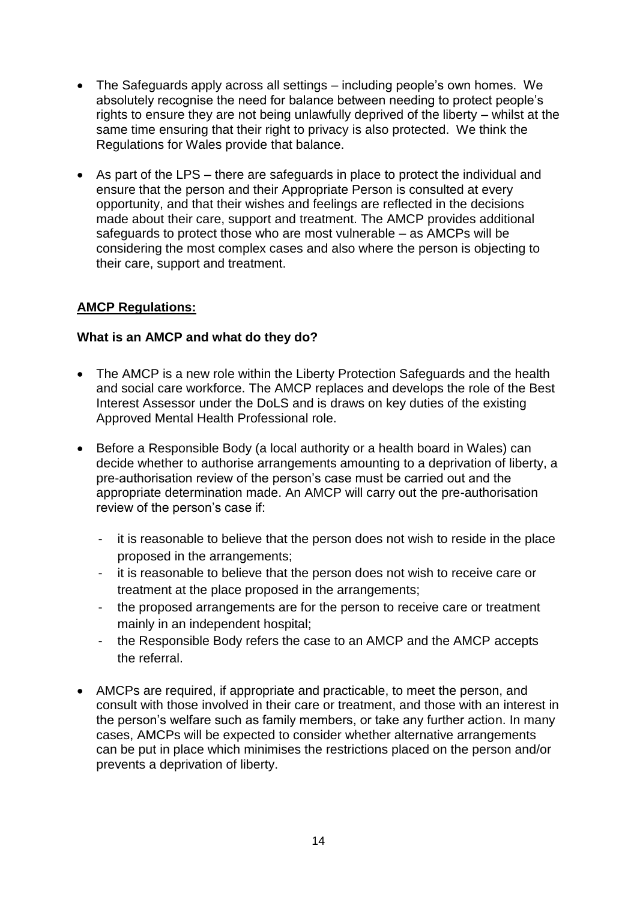- The Safeguards apply across all settings including people's own homes. We absolutely recognise the need for balance between needing to protect people's rights to ensure they are not being unlawfully deprived of the liberty – whilst at the same time ensuring that their right to privacy is also protected. We think the Regulations for Wales provide that balance.
- As part of the LPS there are safeguards in place to protect the individual and ensure that the person and their Appropriate Person is consulted at every opportunity, and that their wishes and feelings are reflected in the decisions made about their care, support and treatment. The AMCP provides additional safeguards to protect those who are most vulnerable – as AMCPs will be considering the most complex cases and also where the person is objecting to their care, support and treatment.

# **AMCP Regulations:**

# **What is an AMCP and what do they do?**

- The AMCP is a new role within the Liberty Protection Safeguards and the health and social care workforce. The AMCP replaces and develops the role of the Best Interest Assessor under the DoLS and is draws on key duties of the existing Approved Mental Health Professional role.
- Before a Responsible Body (a local authority or a health board in Wales) can decide whether to authorise arrangements amounting to a deprivation of liberty, a pre-authorisation review of the person's case must be carried out and the appropriate determination made. An AMCP will carry out the pre-authorisation review of the person's case if:
	- it is reasonable to believe that the person does not wish to reside in the place proposed in the arrangements;
	- it is reasonable to believe that the person does not wish to receive care or treatment at the place proposed in the arrangements;
	- the proposed arrangements are for the person to receive care or treatment mainly in an independent hospital;
	- the Responsible Body refers the case to an AMCP and the AMCP accepts the referral.
- AMCPs are required, if appropriate and practicable, to meet the person, and consult with those involved in their care or treatment, and those with an interest in the person's welfare such as family members, or take any further action. In many cases, AMCPs will be expected to consider whether alternative arrangements can be put in place which minimises the restrictions placed on the person and/or prevents a deprivation of liberty.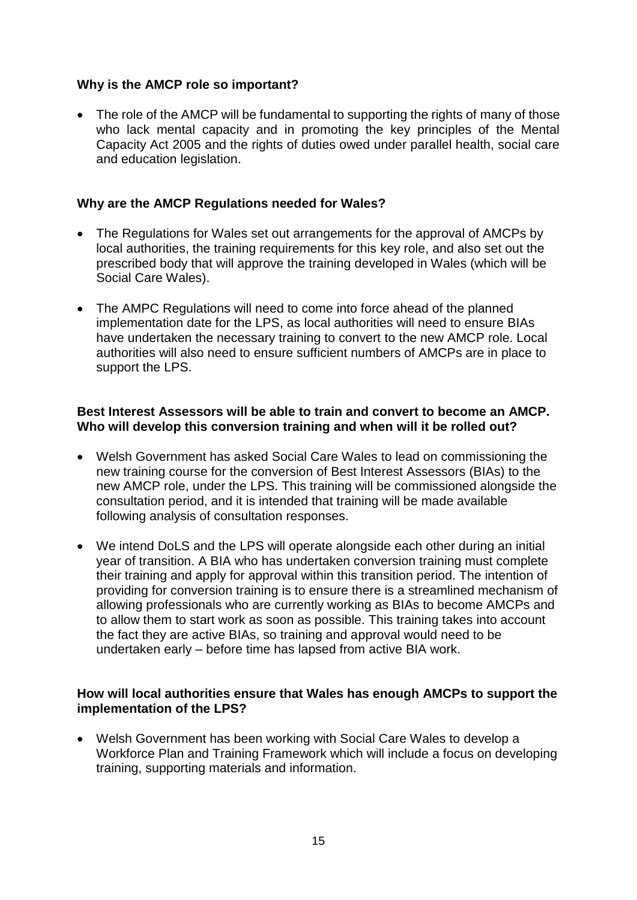## **Why is the AMCP role so important?**

• The role of the AMCP will be fundamental to supporting the rights of many of those who lack mental capacity and in promoting the key principles of the Mental Capacity Act 2005 and the rights of duties owed under parallel health, social care and education legislation.

### **Why are the AMCP Regulations needed for Wales?**

- The Regulations for Wales set out arrangements for the approval of AMCPs by local authorities, the training requirements for this key role, and also set out the prescribed body that will approve the training developed in Wales (which will be Social Care Wales).
- The AMPC Regulations will need to come into force ahead of the planned implementation date for the LPS, as local authorities will need to ensure BIAs have undertaken the necessary training to convert to the new AMCP role. Local authorities will also need to ensure sufficient numbers of AMCPs are in place to support the LPS.

### **Best Interest Assessors will be able to train and convert to become an AMCP. Who will develop this conversion training and when will it be rolled out?**

- Welsh Government has asked Social Care Wales to lead on commissioning the new training course for the conversion of Best Interest Assessors (BIAs) to the new AMCP role, under the LPS. This training will be commissioned alongside the consultation period, and it is intended that training will be made available following analysis of consultation responses.
- We intend DoLS and the LPS will operate alongside each other during an initial year of transition. A BIA who has undertaken conversion training must complete their training and apply for approval within this transition period. The intention of providing for conversion training is to ensure there is a streamlined mechanism of allowing professionals who are currently working as BIAs to become AMCPs and to allow them to start work as soon as possible. This training takes into account the fact they are active BIAs, so training and approval would need to be undertaken early – before time has lapsed from active BIA work.

### **How will local authorities ensure that Wales has enough AMCPs to support the implementation of the LPS?**

 Welsh Government has been working with Social Care Wales to develop a Workforce Plan and Training Framework which will include a focus on developing training, supporting materials and information.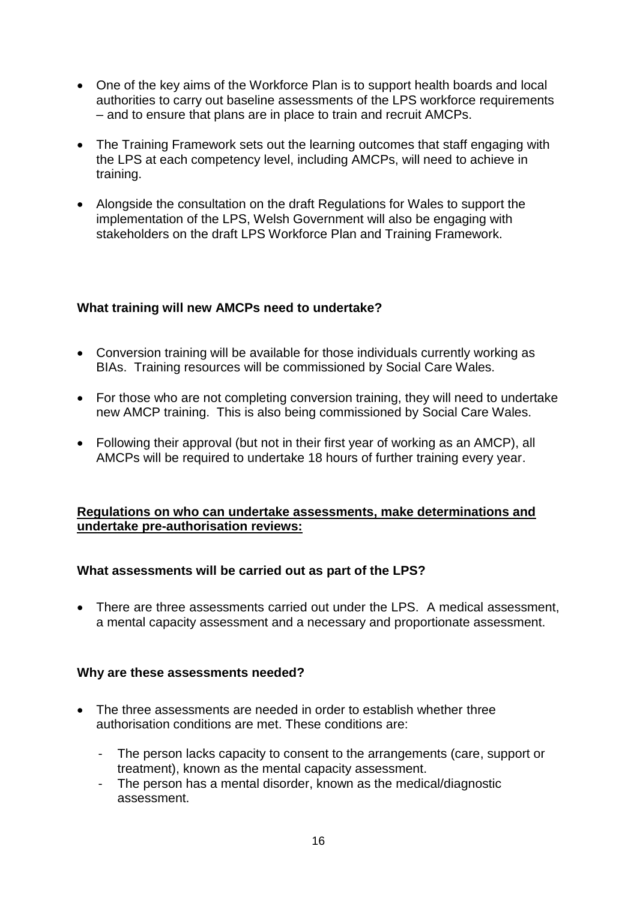- One of the key aims of the Workforce Plan is to support health boards and local authorities to carry out baseline assessments of the LPS workforce requirements – and to ensure that plans are in place to train and recruit AMCPs.
- The Training Framework sets out the learning outcomes that staff engaging with the LPS at each competency level, including AMCPs, will need to achieve in training.
- Alongside the consultation on the draft Regulations for Wales to support the implementation of the LPS, Welsh Government will also be engaging with stakeholders on the draft LPS Workforce Plan and Training Framework.

### **What training will new AMCPs need to undertake?**

- Conversion training will be available for those individuals currently working as BIAs. Training resources will be commissioned by Social Care Wales.
- For those who are not completing conversion training, they will need to undertake new AMCP training. This is also being commissioned by Social Care Wales.
- Following their approval (but not in their first year of working as an AMCP), all AMCPs will be required to undertake 18 hours of further training every year.

### **Regulations on who can undertake assessments, make determinations and undertake pre-authorisation reviews:**

### **What assessments will be carried out as part of the LPS?**

• There are three assessments carried out under the LPS. A medical assessment, a mental capacity assessment and a necessary and proportionate assessment.

### **Why are these assessments needed?**

- The three assessments are needed in order to establish whether three authorisation conditions are met. These conditions are:
	- The person lacks capacity to consent to the arrangements (care, support or treatment), known as the mental capacity assessment.
	- The person has a mental disorder, known as the medical/diagnostic assessment.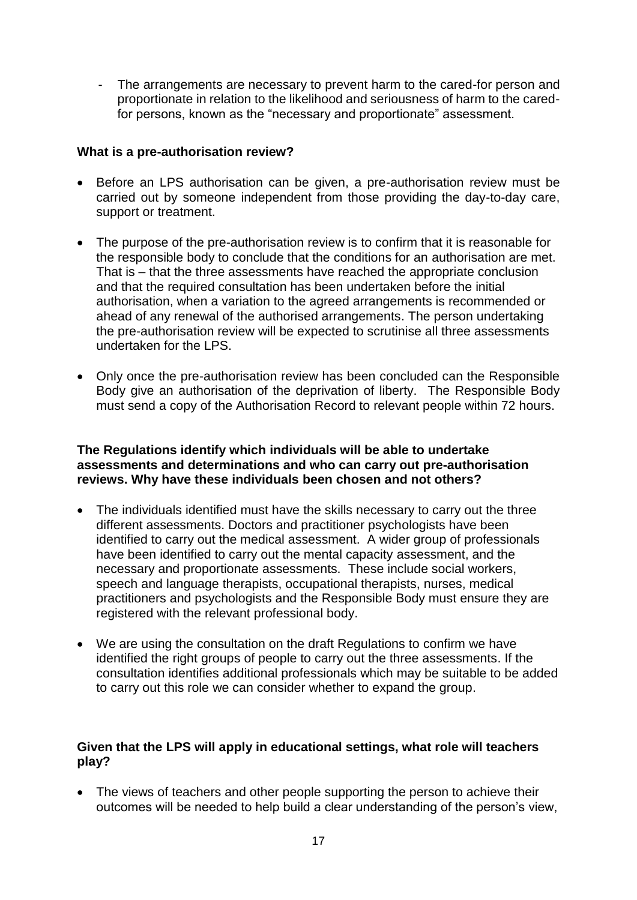The arrangements are necessary to prevent harm to the cared-for person and proportionate in relation to the likelihood and seriousness of harm to the caredfor persons, known as the "necessary and proportionate" assessment.

### **What is a pre-authorisation review?**

- Before an LPS authorisation can be given, a pre-authorisation review must be carried out by someone independent from those providing the day-to-day care, support or treatment.
- The purpose of the pre-authorisation review is to confirm that it is reasonable for the responsible body to conclude that the conditions for an authorisation are met. That is – that the three assessments have reached the appropriate conclusion and that the required consultation has been undertaken before the initial authorisation, when a variation to the agreed arrangements is recommended or ahead of any renewal of the authorised arrangements. The person undertaking the pre-authorisation review will be expected to scrutinise all three assessments undertaken for the LPS.
- Only once the pre-authorisation review has been concluded can the Responsible Body give an authorisation of the deprivation of liberty. The Responsible Body must send a copy of the Authorisation Record to relevant people within 72 hours.

### **The Regulations identify which individuals will be able to undertake assessments and determinations and who can carry out pre-authorisation reviews. Why have these individuals been chosen and not others?**

- The individuals identified must have the skills necessary to carry out the three different assessments. Doctors and practitioner psychologists have been identified to carry out the medical assessment. A wider group of professionals have been identified to carry out the mental capacity assessment, and the necessary and proportionate assessments. These include social workers, speech and language therapists, occupational therapists, nurses, medical practitioners and psychologists and the Responsible Body must ensure they are registered with the relevant professional body.
- We are using the consultation on the draft Regulations to confirm we have identified the right groups of people to carry out the three assessments. If the consultation identifies additional professionals which may be suitable to be added to carry out this role we can consider whether to expand the group.

## **Given that the LPS will apply in educational settings, what role will teachers play?**

• The views of teachers and other people supporting the person to achieve their outcomes will be needed to help build a clear understanding of the person's view,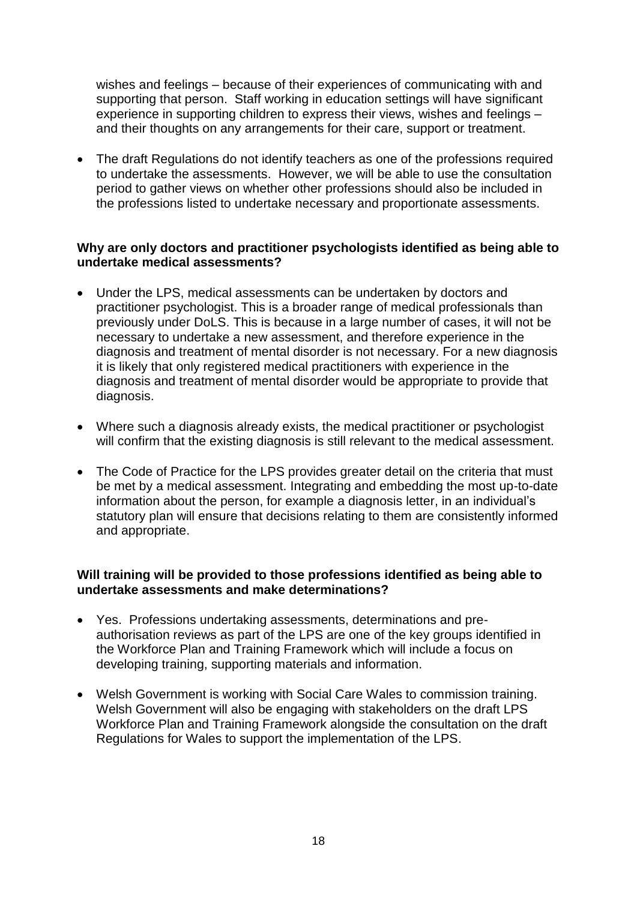wishes and feelings – because of their experiences of communicating with and supporting that person. Staff working in education settings will have significant experience in supporting children to express their views, wishes and feelings – and their thoughts on any arrangements for their care, support or treatment.

 The draft Regulations do not identify teachers as one of the professions required to undertake the assessments. However, we will be able to use the consultation period to gather views on whether other professions should also be included in the professions listed to undertake necessary and proportionate assessments.

### **Why are only doctors and practitioner psychologists identified as being able to undertake medical assessments?**

- Under the LPS, medical assessments can be undertaken by doctors and practitioner psychologist. This is a broader range of medical professionals than previously under DoLS. This is because in a large number of cases, it will not be necessary to undertake a new assessment, and therefore experience in the diagnosis and treatment of mental disorder is not necessary. For a new diagnosis it is likely that only registered medical practitioners with experience in the diagnosis and treatment of mental disorder would be appropriate to provide that diagnosis.
- Where such a diagnosis already exists, the medical practitioner or psychologist will confirm that the existing diagnosis is still relevant to the medical assessment.
- The Code of Practice for the LPS provides greater detail on the criteria that must be met by a medical assessment. Integrating and embedding the most up-to-date information about the person, for example a diagnosis letter, in an individual's statutory plan will ensure that decisions relating to them are consistently informed and appropriate.

### **Will training will be provided to those professions identified as being able to undertake assessments and make determinations?**

- Yes. Professions undertaking assessments, determinations and preauthorisation reviews as part of the LPS are one of the key groups identified in the Workforce Plan and Training Framework which will include a focus on developing training, supporting materials and information.
- Welsh Government is working with Social Care Wales to commission training. Welsh Government will also be engaging with stakeholders on the draft LPS Workforce Plan and Training Framework alongside the consultation on the draft Regulations for Wales to support the implementation of the LPS.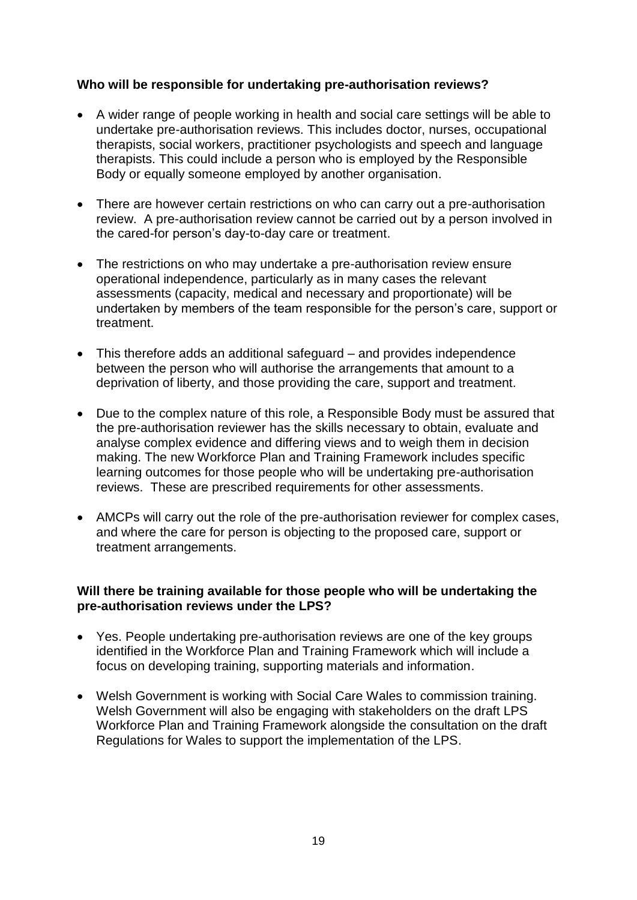## **Who will be responsible for undertaking pre-authorisation reviews?**

- A wider range of people working in health and social care settings will be able to undertake pre-authorisation reviews. This includes doctor, nurses, occupational therapists, social workers, practitioner psychologists and speech and language therapists. This could include a person who is employed by the Responsible Body or equally someone employed by another organisation.
- There are however certain restrictions on who can carry out a pre-authorisation review. A pre-authorisation review cannot be carried out by a person involved in the cared-for person's day-to-day care or treatment.
- The restrictions on who may undertake a pre-authorisation review ensure operational independence, particularly as in many cases the relevant assessments (capacity, medical and necessary and proportionate) will be undertaken by members of the team responsible for the person's care, support or treatment.
- This therefore adds an additional safeguard and provides independence between the person who will authorise the arrangements that amount to a deprivation of liberty, and those providing the care, support and treatment.
- Due to the complex nature of this role, a Responsible Body must be assured that the pre-authorisation reviewer has the skills necessary to obtain, evaluate and analyse complex evidence and differing views and to weigh them in decision making. The new Workforce Plan and Training Framework includes specific learning outcomes for those people who will be undertaking pre-authorisation reviews. These are prescribed requirements for other assessments.
- AMCPs will carry out the role of the pre-authorisation reviewer for complex cases, and where the care for person is objecting to the proposed care, support or treatment arrangements.

## **Will there be training available for those people who will be undertaking the pre-authorisation reviews under the LPS?**

- Yes. People undertaking pre-authorisation reviews are one of the key groups identified in the Workforce Plan and Training Framework which will include a focus on developing training, supporting materials and information.
- Welsh Government is working with Social Care Wales to commission training. Welsh Government will also be engaging with stakeholders on the draft LPS Workforce Plan and Training Framework alongside the consultation on the draft Regulations for Wales to support the implementation of the LPS.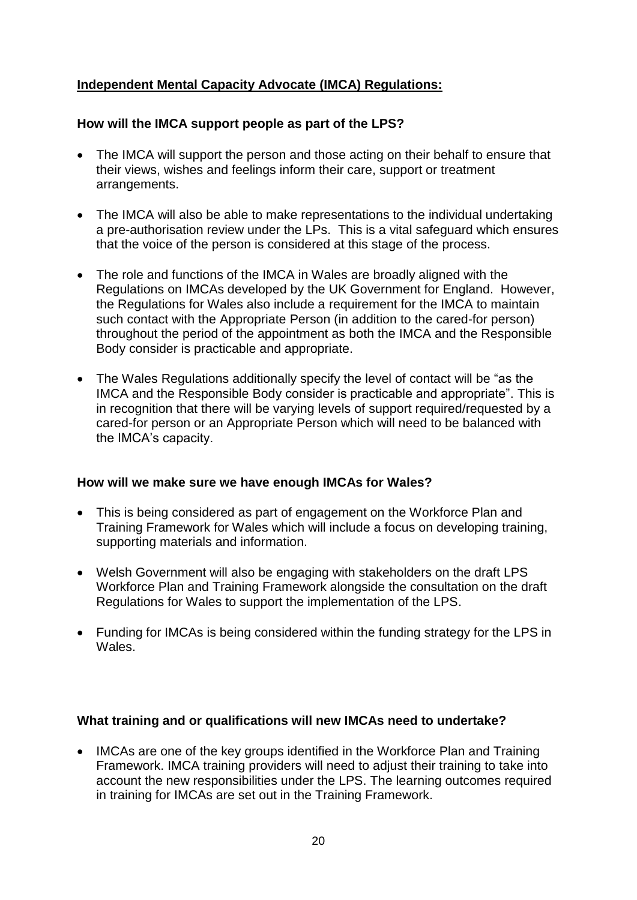# **Independent Mental Capacity Advocate (IMCA) Regulations:**

# **How will the IMCA support people as part of the LPS?**

- The IMCA will support the person and those acting on their behalf to ensure that their views, wishes and feelings inform their care, support or treatment arrangements.
- The IMCA will also be able to make representations to the individual undertaking a pre-authorisation review under the LPs. This is a vital safeguard which ensures that the voice of the person is considered at this stage of the process.
- The role and functions of the IMCA in Wales are broadly aligned with the Regulations on IMCAs developed by the UK Government for England. However, the Regulations for Wales also include a requirement for the IMCA to maintain such contact with the Appropriate Person (in addition to the cared-for person) throughout the period of the appointment as both the IMCA and the Responsible Body consider is practicable and appropriate.
- The Wales Regulations additionally specify the level of contact will be "as the IMCA and the Responsible Body consider is practicable and appropriate". This is in recognition that there will be varying levels of support required/requested by a cared-for person or an Appropriate Person which will need to be balanced with the IMCA's capacity.

# **How will we make sure we have enough IMCAs for Wales?**

- This is being considered as part of engagement on the Workforce Plan and Training Framework for Wales which will include a focus on developing training, supporting materials and information.
- Welsh Government will also be engaging with stakeholders on the draft LPS Workforce Plan and Training Framework alongside the consultation on the draft Regulations for Wales to support the implementation of the LPS.
- Funding for IMCAs is being considered within the funding strategy for the LPS in Wales.

# **What training and or qualifications will new IMCAs need to undertake?**

• IMCAs are one of the key groups identified in the Workforce Plan and Training Framework. IMCA training providers will need to adjust their training to take into account the new responsibilities under the LPS. The learning outcomes required in training for IMCAs are set out in the Training Framework.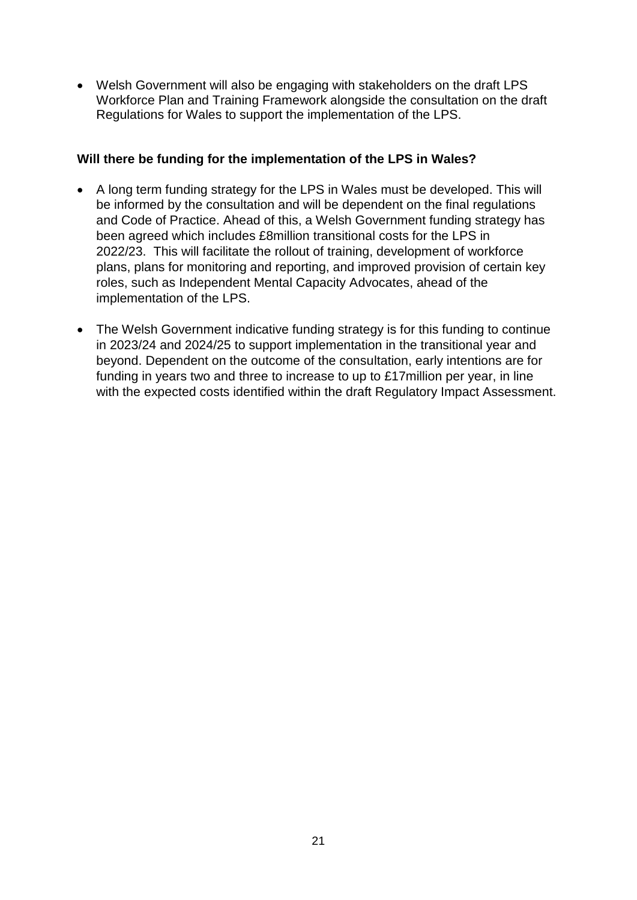Welsh Government will also be engaging with stakeholders on the draft LPS Workforce Plan and Training Framework alongside the consultation on the draft Regulations for Wales to support the implementation of the LPS.

## **Will there be funding for the implementation of the LPS in Wales?**

- A long term funding strategy for the LPS in Wales must be developed. This will be informed by the consultation and will be dependent on the final regulations and Code of Practice. Ahead of this, a Welsh Government funding strategy has been agreed which includes £8million transitional costs for the LPS in 2022/23. This will facilitate the rollout of training, development of workforce plans, plans for monitoring and reporting, and improved provision of certain key roles, such as Independent Mental Capacity Advocates, ahead of the implementation of the LPS.
- The Welsh Government indicative funding strategy is for this funding to continue in 2023/24 and 2024/25 to support implementation in the transitional year and beyond. Dependent on the outcome of the consultation, early intentions are for funding in years two and three to increase to up to £17million per year, in line with the expected costs identified within the draft Regulatory Impact Assessment.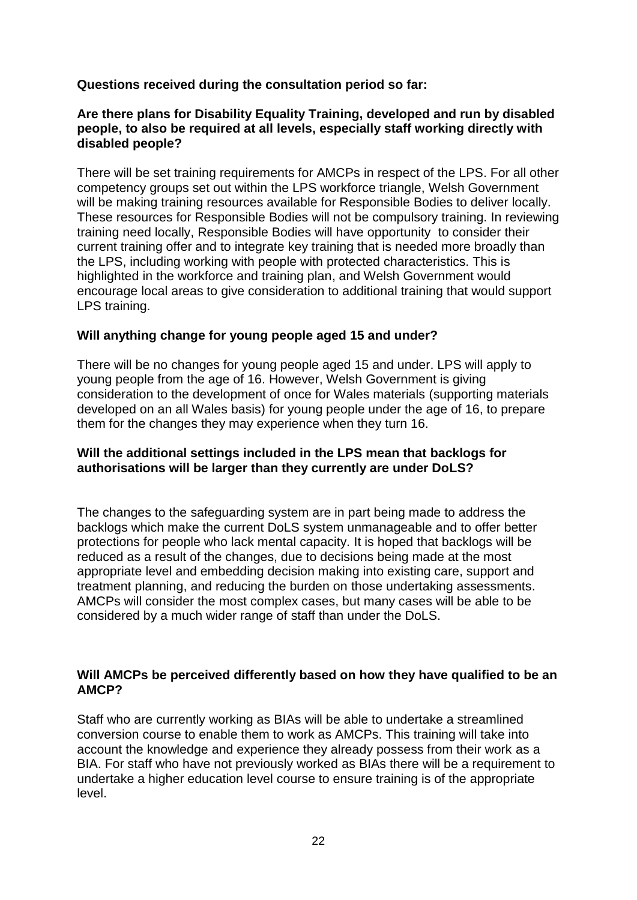## **Questions received during the consultation period so far:**

### **Are there plans for Disability Equality Training, developed and run by disabled people, to also be required at all levels, especially staff working directly with disabled people?**

There will be set training requirements for AMCPs in respect of the LPS. For all other competency groups set out within the LPS workforce triangle, Welsh Government will be making training resources available for Responsible Bodies to deliver locally. These resources for Responsible Bodies will not be compulsory training. In reviewing training need locally, Responsible Bodies will have opportunity to consider their current training offer and to integrate key training that is needed more broadly than the LPS, including working with people with protected characteristics. This is highlighted in the workforce and training plan, and Welsh Government would encourage local areas to give consideration to additional training that would support LPS training.

## **Will anything change for young people aged 15 and under?**

There will be no changes for young people aged 15 and under. LPS will apply to young people from the age of 16. However, Welsh Government is giving consideration to the development of once for Wales materials (supporting materials developed on an all Wales basis) for young people under the age of 16, to prepare them for the changes they may experience when they turn 16.

## **Will the additional settings included in the LPS mean that backlogs for authorisations will be larger than they currently are under DoLS?**

The changes to the safeguarding system are in part being made to address the backlogs which make the current DoLS system unmanageable and to offer better protections for people who lack mental capacity. It is hoped that backlogs will be reduced as a result of the changes, due to decisions being made at the most appropriate level and embedding decision making into existing care, support and treatment planning, and reducing the burden on those undertaking assessments. AMCPs will consider the most complex cases, but many cases will be able to be considered by a much wider range of staff than under the DoLS.

### **Will AMCPs be perceived differently based on how they have qualified to be an AMCP?**

Staff who are currently working as BIAs will be able to undertake a streamlined conversion course to enable them to work as AMCPs. This training will take into account the knowledge and experience they already possess from their work as a BIA. For staff who have not previously worked as BIAs there will be a requirement to undertake a higher education level course to ensure training is of the appropriate level.